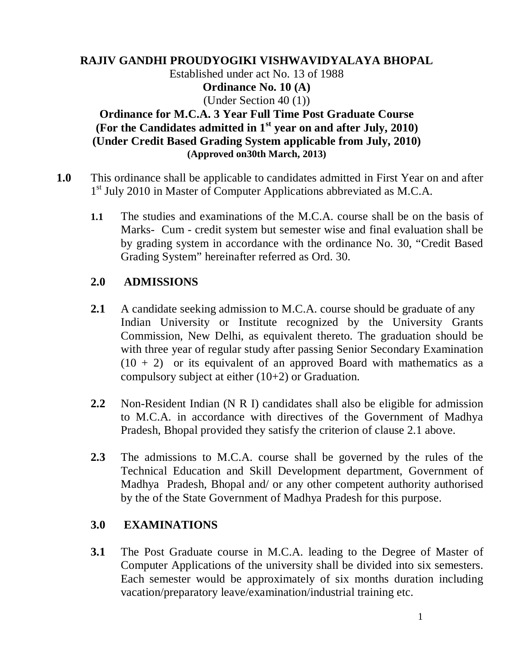#### **RAJIV GANDHI PROUDYOGIKI VISHWAVIDYALAYA BHOPAL** Established under act No. 13 of 1988 **Ordinance No. 10 (A)** (Under Section 40 (1)) **Ordinance for M.C.A. 3 Year Full Time Post Graduate Course (For the Candidates admitted in 1st year on and after July, 2010) (Under Credit Based Grading System applicable from July, 2010) (Approved on30th March, 2013)**

- **1.0** This ordinance shall be applicable to candidates admitted in First Year on and after 1<sup>st</sup> July 2010 in Master of Computer Applications abbreviated as M.C.A.
	- **1.1** The studies and examinations of the M.C.A. course shall be on the basis of Marks- Cum - credit system but semester wise and final evaluation shall be by grading system in accordance with the ordinance No. 30, "Credit Based Grading System" hereinafter referred as Ord. 30.

### **2.0 ADMISSIONS**

- **2.1** A candidate seeking admission to M.C.A. course should be graduate of any Indian University or Institute recognized by the University Grants Commission, New Delhi, as equivalent thereto. The graduation should be with three year of regular study after passing Senior Secondary Examination  $(10 + 2)$  or its equivalent of an approved Board with mathematics as a compulsory subject at either (10+2) or Graduation.
- **2.2** Non-Resident Indian (N R I) candidates shall also be eligible for admission to M.C.A. in accordance with directives of the Government of Madhya Pradesh, Bhopal provided they satisfy the criterion of clause 2.1 above.
- **2.3** The admissions to M.C.A. course shall be governed by the rules of the Technical Education and Skill Development department, Government of Madhya Pradesh, Bhopal and/ or any other competent authority authorised by the of the State Government of Madhya Pradesh for this purpose.

## **3.0 EXAMINATIONS**

**3.1** The Post Graduate course in M.C.A. leading to the Degree of Master of Computer Applications of the university shall be divided into six semesters. Each semester would be approximately of six months duration including vacation/preparatory leave/examination/industrial training etc.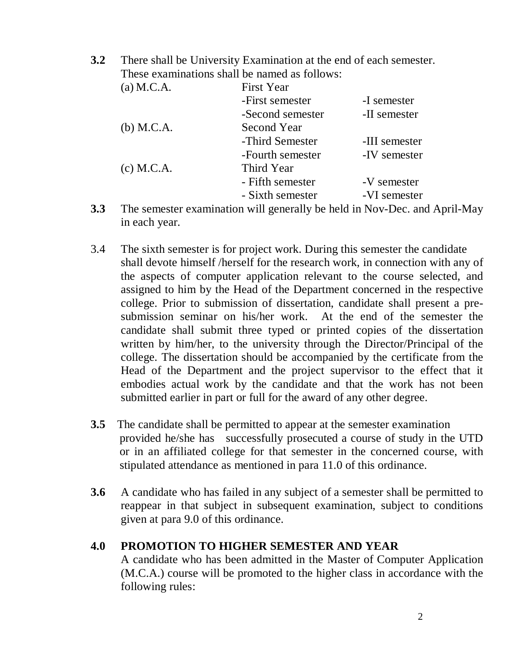**3.2** There shall be University Examination at the end of each semester. These examinations shall be named as follows:

- **3.3** The semester examination will generally be held in Nov-Dec. and April-May in each year.
- 3.4 The sixth semester is for project work. During this semester the candidate shall devote himself /herself for the research work, in connection with any of the aspects of computer application relevant to the course selected, and assigned to him by the Head of the Department concerned in the respective college. Prior to submission of dissertation, candidate shall present a presubmission seminar on his/her work. At the end of the semester the candidate shall submit three typed or printed copies of the dissertation written by him/her, to the university through the Director/Principal of the college. The dissertation should be accompanied by the certificate from the Head of the Department and the project supervisor to the effect that it embodies actual work by the candidate and that the work has not been submitted earlier in part or full for the award of any other degree.
- **3.5** The candidate shall be permitted to appear at the semester examination provided he/she has successfully prosecuted a course of study in the UTD or in an affiliated college for that semester in the concerned course, with stipulated attendance as mentioned in para 11.0 of this ordinance.
- **3.6** A candidate who has failed in any subject of a semester shall be permitted to reappear in that subject in subsequent examination, subject to conditions given at para 9.0 of this ordinance.

#### **4.0 PROMOTION TO HIGHER SEMESTER AND YEAR**

A candidate who has been admitted in the Master of Computer Application (M.C.A.) course will be promoted to the higher class in accordance with the following rules: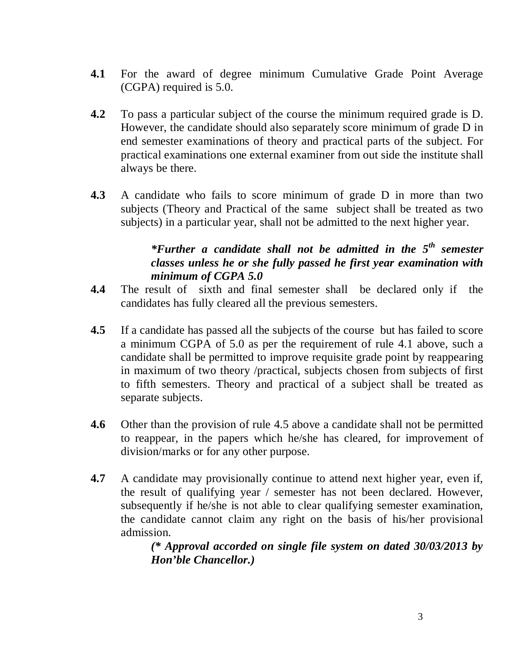- **4.1** For the award of degree minimum Cumulative Grade Point Average (CGPA) required is 5.0.
- **4.2** To pass a particular subject of the course the minimum required grade is D. However, the candidate should also separately score minimum of grade D in end semester examinations of theory and practical parts of the subject. For practical examinations one external examiner from out side the institute shall always be there.
- **4.3** A candidate who fails to score minimum of grade D in more than two subjects (Theory and Practical of the same subject shall be treated as two subjects) in a particular year, shall not be admitted to the next higher year.

## *\*Further a candidate shall not be admitted in the 5th semester classes unless he or she fully passed he first year examination with minimum of CGPA 5.0*

- **4.4** The result of sixth and final semester shall be declared only if the candidates has fully cleared all the previous semesters.
- **4.5** If a candidate has passed all the subjects of the course but has failed to score a minimum CGPA of 5.0 as per the requirement of rule 4.1 above, such a candidate shall be permitted to improve requisite grade point by reappearing in maximum of two theory /practical, subjects chosen from subjects of first to fifth semesters. Theory and practical of a subject shall be treated as separate subjects.
- **4.6** Other than the provision of rule 4.5 above a candidate shall not be permitted to reappear, in the papers which he/she has cleared, for improvement of division/marks or for any other purpose.
- **4.7** A candidate may provisionally continue to attend next higher year, even if, the result of qualifying year / semester has not been declared. However, subsequently if he/she is not able to clear qualifying semester examination, the candidate cannot claim any right on the basis of his/her provisional admission.

*(\* Approval accorded on single file system on dated 30/03/2013 by Hon'ble Chancellor.)*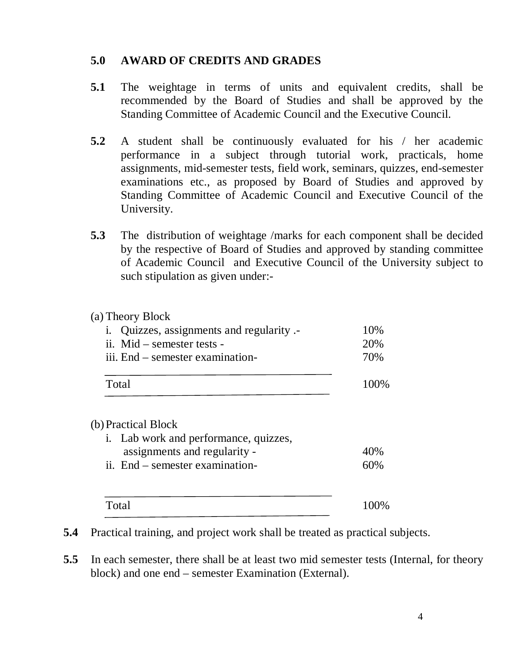#### **5.0 AWARD OF CREDITS AND GRADES**

- **5.1** The weightage in terms of units and equivalent credits, shall be recommended by the Board of Studies and shall be approved by the Standing Committee of Academic Council and the Executive Council.
- **5.2** A student shall be continuously evaluated for his / her academic performance in a subject through tutorial work, practicals, home assignments, mid-semester tests, field work, seminars, quizzes, end-semester examinations etc., as proposed by Board of Studies and approved by Standing Committee of Academic Council and Executive Council of the University.
- **5.3** The distribution of weightage /marks for each component shall be decided by the respective of Board of Studies and approved by standing committee of Academic Council and Executive Council of the University subject to such stipulation as given under:-

#### (a) Theory Block

| i. Quizzes, assignments and regularity .- | 10%   |
|-------------------------------------------|-------|
| ii. Mid $-$ semester tests $-$            | 20%   |
| iii. End – semester examination-          | 70%   |
|                                           |       |
| Total                                     | 100\% |

#### (b)Practical Block

| i. Lab work and performance, quizzes, |      |
|---------------------------------------|------|
| assignments and regularity -          | 40%  |
| ii. End – semester examination-       | 60%  |
|                                       |      |
| Total                                 | 100% |

**5.4** Practical training, and project work shall be treated as practical subjects.

**5.5** In each semester, there shall be at least two mid semester tests (Internal, for theory block) and one end – semester Examination (External).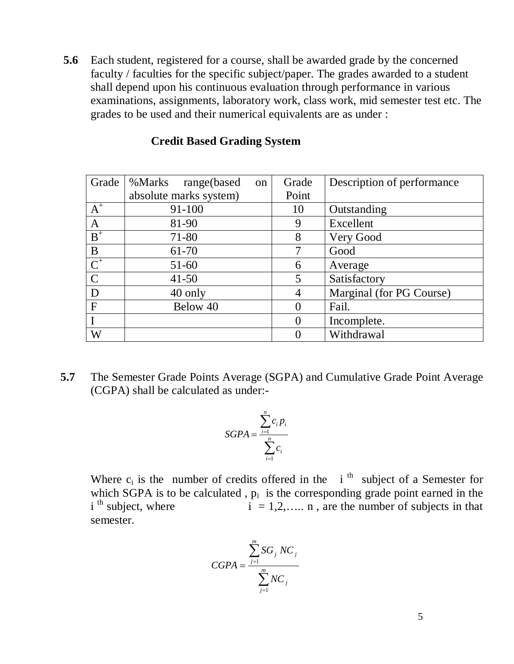**5.6** Each student, registered for a course, shall be awarded grade by the concerned faculty / faculties for the specific subject/paper. The grades awarded to a student shall depend upon his continuous evaluation through performance in various examinations, assignments, laboratory work, class work, mid semester test etc. The grades to be used and their numerical equivalents are as under :

| Grade            | %Marks<br>range(based<br>on | Grade    | Description of performance |
|------------------|-----------------------------|----------|----------------------------|
|                  | absolute marks system)      | Point    |                            |
| $A^+$            | 91-100                      | 10       | Outstanding                |
| $\mathbf{A}$     | 81-90                       | 9        | Excellent                  |
| $\overline{B}^+$ | 71-80                       | 8        | Very Good                  |
| B                | $61 - 70$                   |          | Good                       |
| $\overline{C^+}$ | $51-60$                     | 6        | Average                    |
| $\mathcal{C}$    | $41 - 50$                   | 5        | Satisfactory               |
| D                | 40 only                     | 4        | Marginal (for PG Course)   |
| $\mathbf{F}$     | Below 40                    | 0        | Fail.                      |
|                  |                             | $\theta$ | Incomplete.                |
| W                |                             | 0        | Withdrawal                 |

#### **Credit Based Grading System**

**5.7** The Semester Grade Points Average (SGPA) and Cumulative Grade Point Average (CGPA) shall be calculated as under:-

$$
SGPA = \frac{\sum_{i=1}^{n} c_i p_i}{\sum_{i=1}^{n} c_i}
$$

Where  $c_i$  is the number of credits offered in the i<sup>th</sup> subject of a Semester for which SGPA is to be calculated,  $p_i$  is the corresponding grade point earned in the i<sup>th</sup> subject, where  $i = 1,2,...$  n, are the number of subjects in that semester.

$$
CGPA = \frac{\sum_{j=1}^{m} SG_j NC_j}{\sum_{j=1}^{m} NC_j}
$$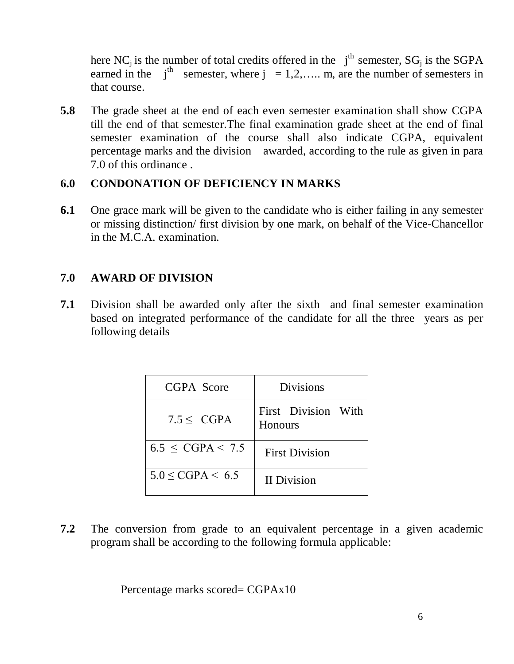here NC<sub>i</sub> is the number of total credits offered in the  $j<sup>th</sup>$  semester, SG<sub>i</sub> is the SGPA earned in the  $i<sup>th</sup>$  semester, where  $j = 1, 2, \ldots$  m, are the number of semesters in that course.

**5.8** The grade sheet at the end of each even semester examination shall show CGPA till the end of that semester.The final examination grade sheet at the end of final semester examination of the course shall also indicate CGPA, equivalent percentage marks and the division awarded, according to the rule as given in para 7.0 of this ordinance .

### **6.0 CONDONATION OF DEFICIENCY IN MARKS**

**6.1** One grace mark will be given to the candidate who is either failing in any semester or missing distinction/ first division by one mark, on behalf of the Vice-Chancellor in the M.C.A. examination.

## **7.0 AWARD OF DIVISION**

**7.1** Division shall be awarded only after the sixth and final semester examination based on integrated performance of the candidate for all the three years as per following details

| CGPA Score               | <b>Divisions</b>               |
|--------------------------|--------------------------------|
| $7.5 <$ CGPA             | First Division With<br>Honours |
| $6.5 \leq CGPA \leq 7.5$ | <b>First Division</b>          |
| $5.0 \leq CGPA \leq 6.5$ | <b>II</b> Division             |

**7.2** The conversion from grade to an equivalent percentage in a given academic program shall be according to the following formula applicable:

Percentage marks scored= CGPAx10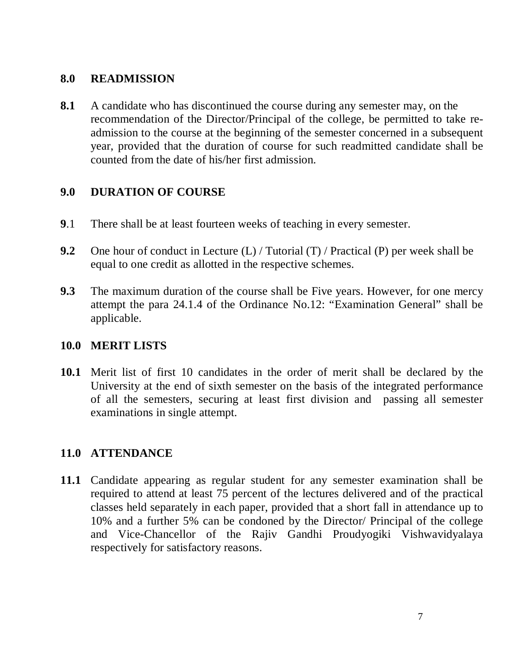## **8.0 READMISSION**

**8.1** A candidate who has discontinued the course during any semester may, on the recommendation of the Director/Principal of the college, be permitted to take readmission to the course at the beginning of the semester concerned in a subsequent year, provided that the duration of course for such readmitted candidate shall be counted from the date of his/her first admission.

## **9.0 DURATION OF COURSE**

- **9**.1 There shall be at least fourteen weeks of teaching in every semester.
- **9.2** One hour of conduct in Lecture (L) / Tutorial (T) / Practical (P) per week shall be equal to one credit as allotted in the respective schemes.
- **9.3** The maximum duration of the course shall be Five years. However, for one mercy attempt the para 24.1.4 of the Ordinance No.12: "Examination General" shall be applicable.

#### **10.0 MERIT LISTS**

**10.1** Merit list of first 10 candidates in the order of merit shall be declared by the University at the end of sixth semester on the basis of the integrated performance of all the semesters, securing at least first division and passing all semester examinations in single attempt.

#### **11.0 ATTENDANCE**

**11.1** Candidate appearing as regular student for any semester examination shall be required to attend at least 75 percent of the lectures delivered and of the practical classes held separately in each paper, provided that a short fall in attendance up to 10% and a further 5% can be condoned by the Director/ Principal of the college and Vice-Chancellor of the Rajiv Gandhi Proudyogiki Vishwavidyalaya respectively for satisfactory reasons.